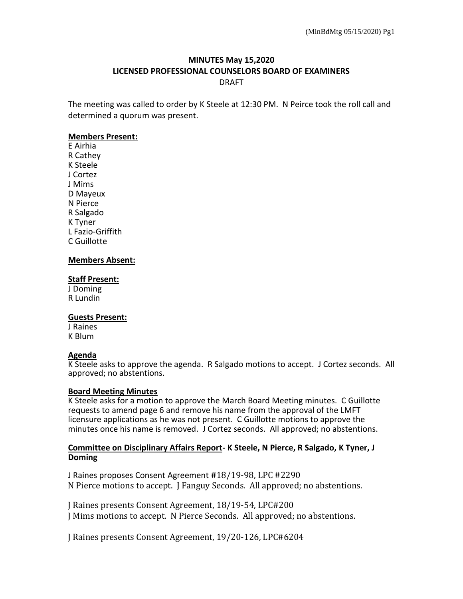# **MINUTES May 15,2020 LICENSED PROFESSIONAL COUNSELORS BOARD OF EXAMINERS** DRAFT

The meeting was called to order by K Steele at 12:30 PM. N Peirce took the roll call and determined a quorum was present.

### **Members Present:**

E Airhia R Cathey K Steele J Cortez J Mims D Mayeux N Pierce R Salgado K Tyner L Fazio-Griffith C Guillotte

### **Members Absent:**

### **Staff Present:**

J Doming R Lundin

### **Guests Present:**

J Raines K Blum

## **Agenda**

K Steele asks to approve the agenda. R Salgado motions to accept. J Cortez seconds. All approved; no abstentions.

### **Board Meeting Minutes**

K Steele asks for a motion to approve the March Board Meeting minutes. C Guillotte requests to amend page 6 and remove his name from the approval of the LMFT licensure applications as he was not present. C Guillotte motions to approve the minutes once his name is removed. J Cortez seconds. All approved; no abstentions.

### **Committee on Disciplinary Affairs Report- K Steele, N Pierce, R Salgado, K Tyner, J Doming**

J Raines proposes Consent Agreement **#**18/19-98, LPC #2290 N Pierce motions to accept. J Fanguy Seconds. All approved; no abstentions.

J Raines presents Consent Agreement, 18/19-54, LPC#200 J Mims motions to accept. N Pierce Seconds. All approved; no abstentions.

J Raines presents Consent Agreement, 19/20-126, LPC#6204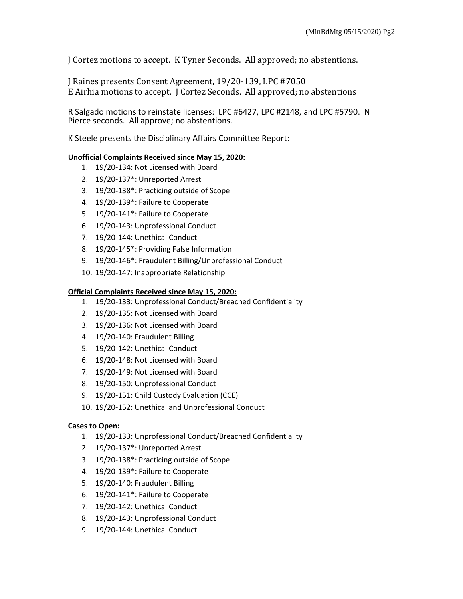J Cortez motions to accept. K Tyner Seconds. All approved; no abstentions.

J Raines presents Consent Agreement, 19/20-139, LPC #7050 E Airhia motions to accept. J Cortez Seconds. All approved; no abstentions

R Salgado motions to reinstate licenses: LPC #6427, LPC #2148, and LPC #5790. N Pierce seconds. All approve; no abstentions.

K Steele presents the Disciplinary Affairs Committee Report:

# **Unofficial Complaints Received since May 15, 2020:**

- 1. 19/20-134: Not Licensed with Board
- 2. 19/20-137\*: Unreported Arrest
- 3. 19/20-138\*: Practicing outside of Scope
- 4. 19/20-139\*: Failure to Cooperate
- 5. 19/20-141\*: Failure to Cooperate
- 6. 19/20-143: Unprofessional Conduct
- 7. 19/20-144: Unethical Conduct
- 8. 19/20-145\*: Providing False Information
- 9. 19/20-146\*: Fraudulent Billing/Unprofessional Conduct
- 10. 19/20-147: Inappropriate Relationship

# **Official Complaints Received since May 15, 2020:**

- 1. 19/20-133: Unprofessional Conduct/Breached Confidentiality
- 2. 19/20-135: Not Licensed with Board
- 3. 19/20-136: Not Licensed with Board
- 4. 19/20-140: Fraudulent Billing
- 5. 19/20-142: Unethical Conduct
- 6. 19/20-148: Not Licensed with Board
- 7. 19/20-149: Not Licensed with Board
- 8. 19/20-150: Unprofessional Conduct
- 9. 19/20-151: Child Custody Evaluation (CCE)
- 10. 19/20-152: Unethical and Unprofessional Conduct

# **Cases to Open:**

- 1. 19/20-133: Unprofessional Conduct/Breached Confidentiality
- 2. 19/20-137\*: Unreported Arrest
- 3. 19/20-138\*: Practicing outside of Scope
- 4. 19/20-139\*: Failure to Cooperate
- 5. 19/20-140: Fraudulent Billing
- 6. 19/20-141\*: Failure to Cooperate
- 7. 19/20-142: Unethical Conduct
- 8. 19/20-143: Unprofessional Conduct
- 9. 19/20-144: Unethical Conduct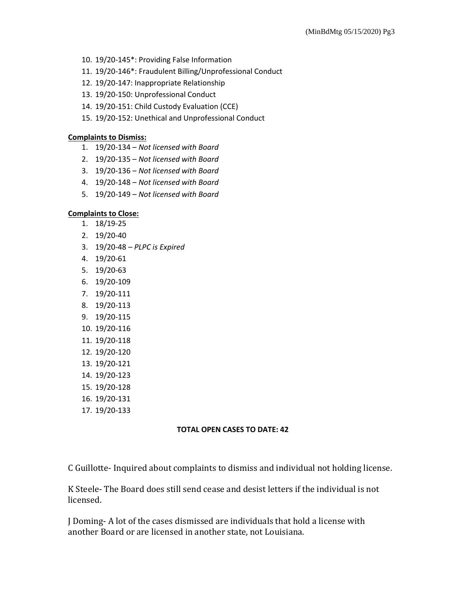- 10. 19/20-145\*: Providing False Information
- 11. 19/20-146\*: Fraudulent Billing/Unprofessional Conduct
- 12. 19/20-147: Inappropriate Relationship
- 13. 19/20-150: Unprofessional Conduct
- 14. 19/20-151: Child Custody Evaluation (CCE)
- 15. 19/20-152: Unethical and Unprofessional Conduct

### **Complaints to Dismiss:**

- 1. 19/20-134 *Not licensed with Board*
- 2. 19/20-135 *Not licensed with Board*
- 3. 19/20-136 *Not licensed with Board*
- 4. 19/20-148 *Not licensed with Board*
- 5. 19/20-149 *Not licensed with Board*

### **Complaints to Close:**

- 1. 18/19-25
- 2. 19/20-40
- 3. 19/20-48 *PLPC is Expired*
- 4. 19/20-61
- 5. 19/20-63
- 6. 19/20-109
- 7. 19/20-111
- 8. 19/20-113
- 9. 19/20-115
- 10. 19/20-116
- 11. 19/20-118
- 12. 19/20-120
- 13. 19/20-121
- 14. 19/20-123
- 15. 19/20-128
- 16. 19/20-131
- 17. 19/20-133

### **TOTAL OPEN CASES TO DATE: 42**

C Guillotte- Inquired about complaints to dismiss and individual not holding license.

K Steele- The Board does still send cease and desist letters if the individual is not licensed.

J Doming- A lot of the cases dismissed are individuals that hold a license with another Board or are licensed in another state, not Louisiana.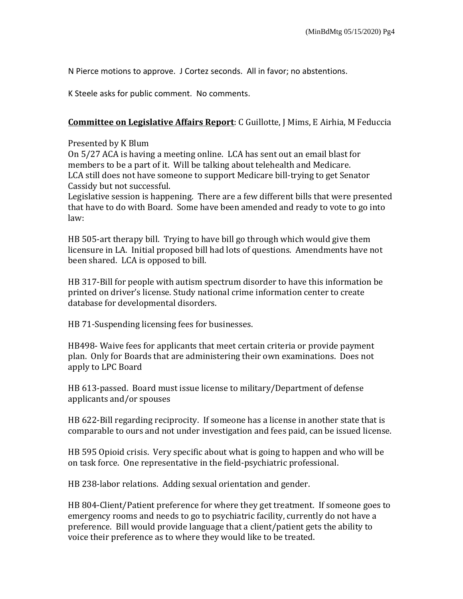N Pierce motions to approve. J Cortez seconds. All in favor; no abstentions.

K Steele asks for public comment. No comments.

## **Committee on Legislative Affairs Report**: C Guillotte, J Mims, E Airhia, M Feduccia

Presented by K Blum

On 5/27 ACA is having a meeting online. LCA has sent out an email blast for members to be a part of it. Will be talking about telehealth and Medicare. LCA still does not have someone to support Medicare bill-trying to get Senator Cassidy but not successful.

Legislative session is happening. There are a few different bills that were presented that have to do with Board. Some have been amended and ready to vote to go into law:

HB 505-art therapy bill. Trying to have bill go through which would give them licensure in LA. Initial proposed bill had lots of questions. Amendments have not been shared. LCA is opposed to bill.

HB 317-Bill for people with autism spectrum disorder to have this information be printed on driver's license. Study national crime information center to create database for developmental disorders.

HB 71-Suspending licensing fees for businesses.

HB498- Waive fees for applicants that meet certain criteria or provide payment plan. Only for Boards that are administering their own examinations. Does not apply to LPC Board

HB 613-passed. Board must issue license to military/Department of defense applicants and/or spouses

HB 622-Bill regarding reciprocity. If someone has a license in another state that is comparable to ours and not under investigation and fees paid, can be issued license.

HB 595 Opioid crisis. Very specific about what is going to happen and who will be on task force. One representative in the field-psychiatric professional.

HB 238-labor relations. Adding sexual orientation and gender.

HB 804-Client/Patient preference for where they get treatment. If someone goes to emergency rooms and needs to go to psychiatric facility, currently do not have a preference. Bill would provide language that a client/patient gets the ability to voice their preference as to where they would like to be treated.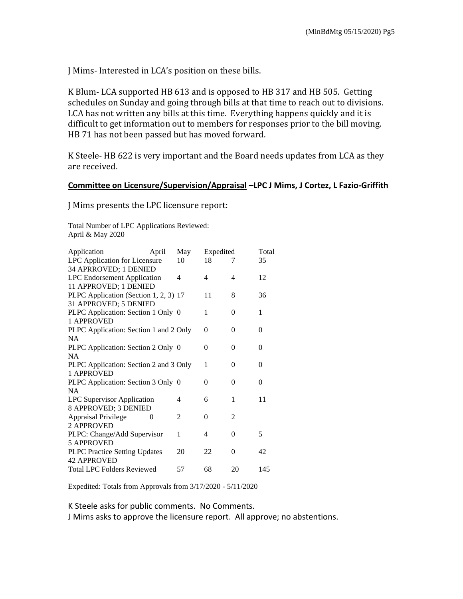J Mims- Interested in LCA's position on these bills.

K Blum- LCA supported HB 613 and is opposed to HB 317 and HB 505. Getting schedules on Sunday and going through bills at that time to reach out to divisions. LCA has not written any bills at this time. Everything happens quickly and it is difficult to get information out to members for responses prior to the bill moving. HB 71 has not been passed but has moved forward.

K Steele- HB 622 is very important and the Board needs updates from LCA as they are received.

# **Committee on Licensure/Supervision/Appraisal –LPC J Mims, J Cortez, L Fazio-Griffith**

J Mims presents the LPC licensure report:

Total Number of LPC Applications Reviewed: April & May 2020

| Application                            | April | May | Expedited |                | Total    |  |
|----------------------------------------|-------|-----|-----------|----------------|----------|--|
| LPC Application for Licensure          |       | 10  | 18        | 7              | 35       |  |
| 34 APRROVED; 1 DENIED                  |       |     |           |                |          |  |
| <b>LPC</b> Endorsement Application     |       | 4   | 4         | 4              | 12       |  |
| 11 APPROVED; 1 DENIED                  |       |     |           |                |          |  |
| PLPC Application (Section 1, 2, 3) 17  |       |     | 11        | 8              | 36       |  |
| 31 APPROVED; 5 DENIED                  |       |     |           |                |          |  |
| PLPC Application: Section 1 Only 0     |       |     | 1         | 0              | 1        |  |
| 1 APPROVED                             |       |     |           |                |          |  |
| PLPC Application: Section 1 and 2 Only |       |     | 0         | 0              | 0        |  |
| <b>NA</b>                              |       |     |           |                |          |  |
| PLPC Application: Section 2 Only 0     |       |     | 0         | 0              | 0        |  |
| <b>NA</b>                              |       |     |           |                |          |  |
| PLPC Application: Section 2 and 3 Only |       |     | 1         | 0              | 0        |  |
| 1 APPROVED                             |       |     |           |                |          |  |
| PLPC Application: Section 3 Only 0     |       |     | 0         | 0              | $\Omega$ |  |
| NA.                                    |       |     |           |                |          |  |
| <b>LPC Supervisor Application</b>      |       | 4   | 6         | 1              | 11       |  |
| 8 APPROVED; 3 DENIED                   |       |     |           |                |          |  |
| <b>Appraisal Privilege</b>             | 0     | 2   | 0         | $\overline{c}$ |          |  |
| 2 APPROVED                             |       |     |           |                |          |  |
| PLPC: Change/Add Supervisor            |       | 1   | 4         | 0              | 5        |  |
| <b>5 APPROVED</b>                      |       |     |           |                |          |  |
| PLPC Practice Setting Updates          |       | 20  | 22        | 0              | 42       |  |
| <b>42 APPROVED</b>                     |       |     |           |                |          |  |
| <b>Total LPC Folders Reviewed</b>      |       | 57  | 68        | 20             | 145      |  |

Expedited: Totals from Approvals from 3/17/2020 - 5/11/2020

K Steele asks for public comments. No Comments.

J Mims asks to approve the licensure report. All approve; no abstentions.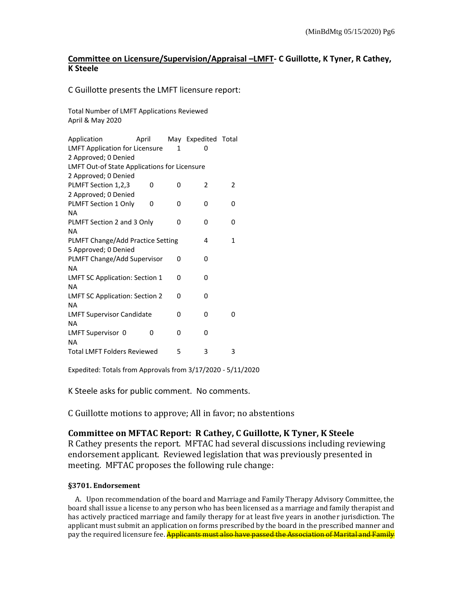# **Committee on Licensure/Supervision/Appraisal –LMFT- C Guillotte, K Tyner, R Cathey, K Steele**

C Guillotte presents the LMFT licensure report:

Total Number of LMFT Applications Reviewed April & May 2020

| Application                                         | April |   | May Expedited Total |   |  |  |  |  |  |
|-----------------------------------------------------|-------|---|---------------------|---|--|--|--|--|--|
| <b>LMFT Application for Licensure</b>               |       | 1 | n                   |   |  |  |  |  |  |
| 2 Approved; 0 Denied                                |       |   |                     |   |  |  |  |  |  |
| <b>LMFT Out-of State Applications for Licensure</b> |       |   |                     |   |  |  |  |  |  |
| 2 Approved; 0 Denied                                |       |   |                     |   |  |  |  |  |  |
| PLMFT Section 1,2,3                                 | 0     | 0 | 2                   | 2 |  |  |  |  |  |
| 2 Approved; 0 Denied                                |       |   |                     |   |  |  |  |  |  |
| PLMFT Section 1 Only                                | 0     | 0 | 0                   | 0 |  |  |  |  |  |
| <b>NA</b>                                           |       |   |                     |   |  |  |  |  |  |
| PLMFT Section 2 and 3 Only                          |       | 0 | 0                   | 0 |  |  |  |  |  |
| ΝA                                                  |       |   |                     |   |  |  |  |  |  |
| PLMFT Change/Add Practice Setting                   | 4     | 1 |                     |   |  |  |  |  |  |
| 5 Approved; 0 Denied                                |       |   |                     |   |  |  |  |  |  |
| PLMFT Change/Add Supervisor                         |       | 0 | 0                   |   |  |  |  |  |  |
| <b>NA</b>                                           |       |   |                     |   |  |  |  |  |  |
| <b>LMFT SC Application: Section 1</b>               |       | 0 | 0                   |   |  |  |  |  |  |
| NA                                                  |       |   |                     |   |  |  |  |  |  |
| <b>LMFT SC Application: Section 2</b>               |       | 0 | 0                   |   |  |  |  |  |  |
| <b>NA</b>                                           |       |   |                     |   |  |  |  |  |  |
| <b>LMFT Supervisor Candidate</b>                    |       | 0 | 0                   | 0 |  |  |  |  |  |
| <b>NA</b>                                           |       |   |                     |   |  |  |  |  |  |
| LMFT Supervisor 0                                   | 0     | 0 | 0                   |   |  |  |  |  |  |
| <b>NA</b>                                           |       |   |                     |   |  |  |  |  |  |
| <b>Total LMFT Folders Reviewed</b>                  |       | 5 | 3                   | 3 |  |  |  |  |  |
|                                                     |       |   |                     |   |  |  |  |  |  |

Expedited: Totals from Approvals from 3/17/2020 - 5/11/2020

K Steele asks for public comment. No comments.

C Guillotte motions to approve; All in favor; no abstentions

# **Committee on MFTAC Report: R Cathey, C Guillotte, K Tyner, K Steele**

R Cathey presents the report. MFTAC had several discussions including reviewing endorsement applicant. Reviewed legislation that was previously presented in meeting. MFTAC proposes the following rule change:

### **§3701. Endorsement**

A. Upon recommendation of the board and Marriage and Family Therapy Advisory Committee, the board shall issue a license to any person who has been licensed as a marriage and family therapist and has actively practiced marriage and family therapy for at least five years in another jurisdiction. The applicant must submit an application on forms prescribed by the board in the prescribed manner and pay the required licensure fee. <mark>Applicants must also have passed the Association of Marital and Family</mark>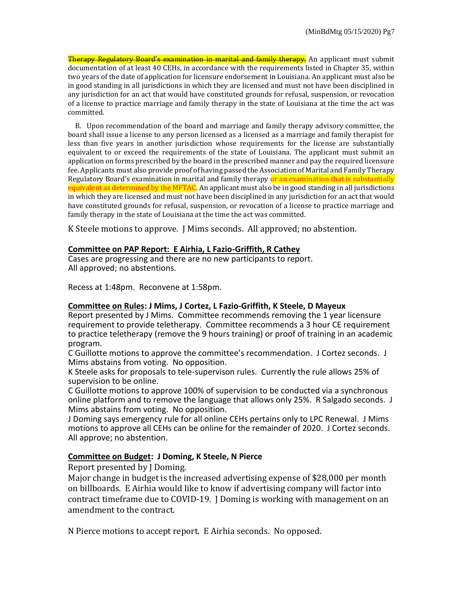Therapy Regulatory Board's examination in marital and family therapy. An applicant must submit documentation of at least 40 CEHs, in accordance with the requirements listed in Chapter 35, within two years of the date of application for licensure endorsement in Louisiana. An applicant must also be in good standing in all jurisdictions in which they are licensed and must not have been disciplined in any jurisdiction for an act that would have constituted grounds for refusal, suspension, or revocation of a license to practice marriage and family therapy in the state of Louisiana at the time the act was committed.

B. Upon recommendation of the board and marriage and family therapy advisory committee, the board shall issue a license to any person licensed as a licensed as a marriage and family therapist for less than five years in another jurisdiction whose requirements for the license are substantially equivalent to or exceed the requirements of the state of Louisiana. The applicant must submit an application on forms prescribed by the board in the prescribed manner and pay the required licensure fee. Applicants must also provide proof of having passed the Association of Marital and Family Therapy Regulatory Board's examination in marital and family therapy or an examination that is substantially equivalent as determined by the MFTAC. An applicant must also be in good standing in all jurisdictions in which they are licensed and must not have been disciplined in any jurisdiction for an act that would have constituted grounds for refusal, suspension, or revocation of a license to practice marriage and family therapy in the state of Louisiana at the time the act was committed.

K Steele motions to approve. J Mims seconds. All approved; no abstention.

### **Committee on PAP Report: E Airhia, L Fazio-Griffith, R Cathey**

Cases are progressing and there are no new participants to report. All approved; no abstentions.

Recess at 1:48pm. Reconvene at 1:58pm.

### **Committee on Rules: J Mims, J Cortez, L Fazio-Griffith, K Steele, D Mayeux**

Report presented by J Mims. Committee recommends removing the 1 year licensure requirement to provide teletherapy. Committee recommends a 3 hour CE requirement to practice teletherapy (remove the 9 hours training) or proof of training in an academic program.

C Guillotte motions to approve the committee's recommendation. J Cortez seconds. J Mims abstains from voting. No opposition.

K Steele asks for proposals to tele-supervison rules. Currently the rule allows 25% of supervision to be online.

C Guillotte motions to approve 100% of supervision to be conducted via a synchronous online platform and to remove the language that allows only 25%. R Salgado seconds. J Mims abstains from voting. No opposition.

J Doming says emergency rule for all online CEHs pertains only to LPC Renewal. J Mims motions to approve all CEHs can be online for the remainder of 2020. J Cortez seconds. All approve; no abstention.

## **Committee on Budget: J Doming, K Steele, N Pierce**

Report presented by J Doming.

Major change in budget is the increased advertising expense of \$28,000 per month on billboards. E Airhia would like to know if advertising company will factor into contract timeframe due to COVID-19. J Doming is working with management on an amendment to the contract.

N Pierce motions to accept report. E Airhia seconds. No opposed.